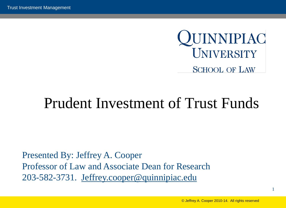

# Prudent Investment of Trust Funds

Presented By: Jeffrey A. Cooper Professor of Law and Associate Dean for Research 203-582-3731. [Jeffrey.cooper@quinnipiac.edu](mailto:Jeffrey.cooper@quinnipiac.edu)

1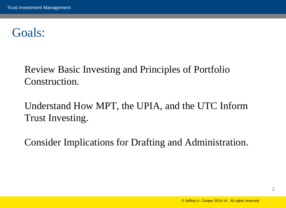## Goals:

Review Basic Investing and Principles of Portfolio Construction.

Understand How MPT, the UPIA, and the UTC Inform Trust Investing.

Consider Implications for Drafting and Administration.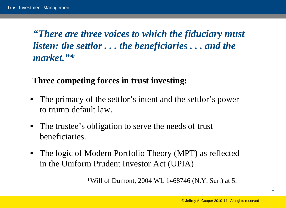*"There are three voices to which the fiduciary must listen: the settlor . . . the beneficiaries . . . and the market."\**

#### **Three competing forces in trust investing:**

- The primacy of the settlor's intent and the settlor's power to trump default law.
- The trustee's obligation to serve the needs of trust beneficiaries.
- The logic of Modern Portfolio Theory (MPT) as reflected in the Uniform Prudent Investor Act (UPIA)

\*Will of Dumont, 2004 WL 1468746 (N.Y. Sur.) at 5.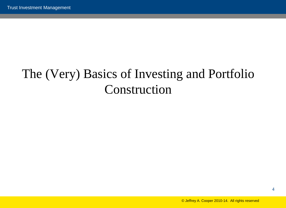# The (Very) Basics of Investing and Portfolio Construction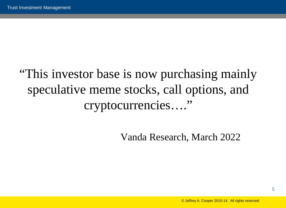# "This investor base is now purchasing mainly speculative meme stocks, call options, and cryptocurrencies…."

Vanda Research, March 2022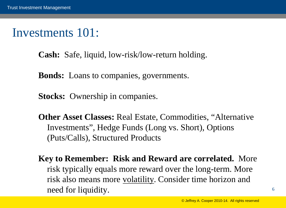#### Investments 101:

**Cash:** Safe, liquid, low-risk/low-return holding.

**Bonds:** Loans to companies, governments.

**Stocks:** Ownership in companies.

**Other Asset Classes: Real Estate, Commodities, "Alternative"** Investments", Hedge Funds (Long vs. Short), Options (Puts/Calls), Structured Products

**Key to Remember: Risk and Reward are correlated.** More risk typically equals more reward over the long-term. More risk also means more volatility. Consider time horizon and need for liquidity.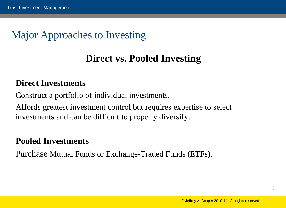#### Major Approaches to Investing

#### **Direct vs. Pooled Investing**

#### **Direct Investments**

Construct a portfolio of individual investments.

Affords greatest investment control but requires expertise to select investments and can be difficult to properly diversify.

#### **Pooled Investments**

Purchase Mutual Funds or Exchange-Traded Funds (ETFs).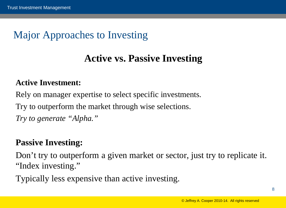#### Major Approaches to Investing

#### **Active vs. Passive Investing**

#### **Active Investment:**

Rely on manager expertise to select specific investments. Try to outperform the market through wise selections. *Try to generate "Alpha."*

#### **Passive Investing:**

Don't try to outperform a given market or sector, just try to replicate it. "Index investing."

Typically less expensive than active investing.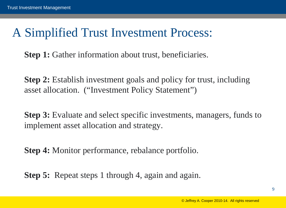#### A Simplified Trust Investment Process:

**Step 1:** Gather information about trust, beneficiaries.

**Step 2:** Establish investment goals and policy for trust, including asset allocation. ("Investment Policy Statement")

**Step 3:** Evaluate and select specific investments, managers, funds to implement asset allocation and strategy.

**Step 4:** Monitor performance, rebalance portfolio.

**Step 5:** Repeat steps 1 through 4, again and again.

9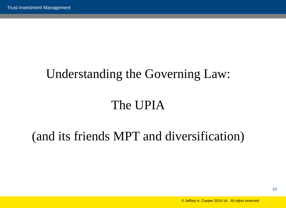## Understanding the Governing Law:

# The UPIA

## (and its friends MPT and diversification)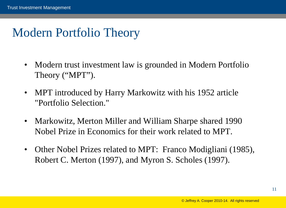## Modern Portfolio Theory

- Modern trust investment law is grounded in Modern Portfolio Theory ("MPT").
- MPT introduced by Harry Markowitz with his 1952 article "Portfolio Selection."
- Markowitz, Merton Miller and William Sharpe shared 1990 Nobel Prize in Economics for their work related to MPT.
- Other Nobel Prizes related to MPT: Franco Modigliani (1985), Robert C. Merton (1997), and Myron S. Scholes (1997).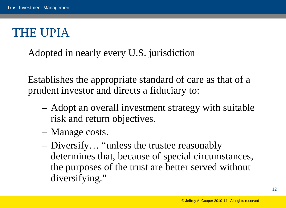## THE UPIA

Adopted in nearly every U.S. jurisdiction

Establishes the appropriate standard of care as that of a prudent investor and directs a fiduciary to:

- Adopt an overall investment strategy with suitable risk and return objectives.
- Manage costs.
- Diversify… "unless the trustee reasonably determines that, because of special circumstances, the purposes of the trust are better served without diversifying."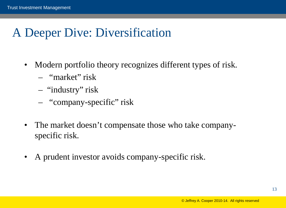# A Deeper Dive: Diversification

- Modern portfolio theory recognizes different types of risk.
	- "market" risk
	- "industry" risk
	- "company-specific" risk
- The market doesn't compensate those who take companyspecific risk.
- A prudent investor avoids company-specific risk.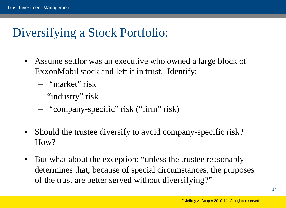# Diversifying a Stock Portfolio:

- Assume settlor was an executive who owned a large block of ExxonMobil stock and left it in trust. Identify:
	- "market" risk
	- "industry" risk
	- "company-specific" risk ("firm" risk)
- Should the trustee diversify to avoid company-specific risk? How?
- But what about the exception: "unless the trustee reasonably determines that, because of special circumstances, the purposes of the trust are better served without diversifying?"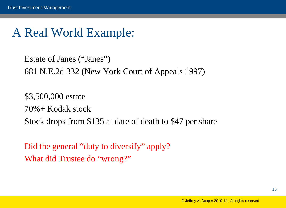#### A Real World Example:

Estate of Janes ("Janes") 681 N.E.2d 332 (New York Court of Appeals 1997)

\$3,500,000 estate 70%+ Kodak stock Stock drops from \$135 at date of death to \$47 per share

Did the general "duty to diversify" apply? What did Trustee do "wrong?"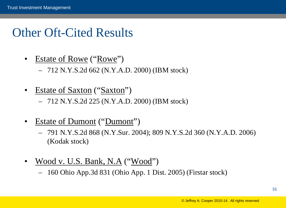#### Other Oft-Cited Results

• Estate of Rowe ("Rowe")

– 712 N.Y.S.2d 662 (N.Y.A.D. 2000) (IBM stock)

Estate of Saxton ("Saxton")

– 712 N.Y.S.2d 225 (N.Y.A.D. 2000) (IBM stock)

- Estate of Dumont ("Dumont")
	- 791 N.Y.S.2d 868 (N.Y.Sur. 2004); 809 N.Y.S.2d 360 (N.Y.A.D. 2006) (Kodak stock)
- Wood v. U.S. Bank, N.A ("Wood")
	- 160 Ohio App.3d 831 (Ohio App. 1 Dist. 2005) (Firstar stock)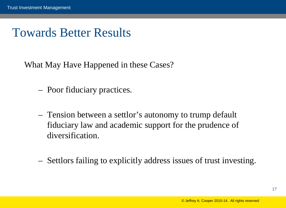#### Towards Better Results

What May Have Happened in these Cases?

- Poor fiduciary practices.
- Tension between a settlor's autonomy to trump default fiduciary law and academic support for the prudence of diversification.
- Settlors failing to explicitly address issues of trust investing.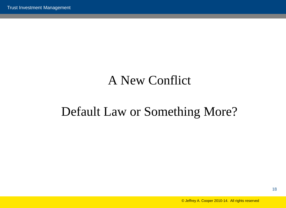## A New Conflict

## Default Law or Something More?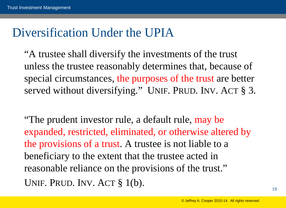#### Diversification Under the UPIA

"A trustee shall diversify the investments of the trust unless the trustee reasonably determines that, because of special circumstances, the purposes of the trust are better served without diversifying." UNIF. PRUD. INV. ACT § 3.

"The prudent investor rule, a default rule, may be expanded, restricted, eliminated, or otherwise altered by the provisions of a trust. A trustee is not liable to a beneficiary to the extent that the trustee acted in reasonable reliance on the provisions of the trust." UNIF. PRUD. INV. ACT § 1(b).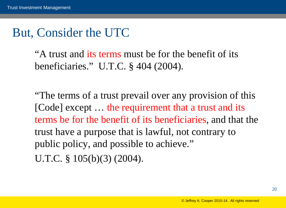#### But, Consider the UTC

"A trust and its terms must be for the benefit of its beneficiaries." U.T.C. § 404 (2004).

"The terms of a trust prevail over any provision of this [Code] except … the requirement that a trust and its terms be for the benefit of its beneficiaries, and that the trust have a purpose that is lawful, not contrary to public policy, and possible to achieve." U.T.C. § 105(b)(3) (2004).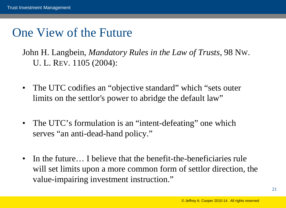#### One View of the Future

John H. Langbein, *Mandatory Rules in the Law of Trusts*, 98 NW. U. L. REV. 1105 (2004):

- The UTC codifies an "objective standard" which "sets outer limits on the settlor's power to abridge the default law"
- The UTC's formulation is an "intent-defeating" one which serves "an anti-dead-hand policy."
- In the future… I believe that the benefit-the-beneficiaries rule will set limits upon a more common form of settlor direction, the value-impairing investment instruction."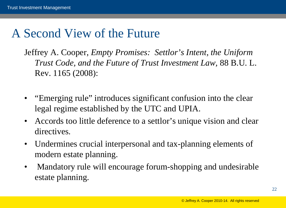## A Second View of the Future

Jeffrey A. Cooper, *Empty Promises: Settlor's Intent, the Uniform Trust Code, and the Future of Trust Investment Law,* 88 B.U. L. Rev. 1165 (2008):

- "Emerging rule" introduces significant confusion into the clear legal regime established by the UTC and UPIA.
- Accords too little deference to a settlor's unique vision and clear directives.
- Undermines crucial interpersonal and tax-planning elements of modern estate planning.
- Mandatory rule will encourage forum-shopping and undesirable estate planning.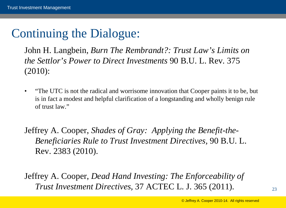# Continuing the Dialogue:

John H. Langbein, *Burn The Rembrandt?: Trust Law's Limits on the Settlor's Power to Direct Investments* 90 B.U. L. Rev. 375 (2010):

• "The UTC is not the radical and worrisome innovation that Cooper paints it to be, but is in fact a modest and helpful clarification of a longstanding and wholly benign rule of trust law."

Jeffrey A. Cooper, *Shades of Gray: Applying the Benefit-the-Beneficiaries Rule to Trust Investment Directives,* 90 B.U. L. Rev. 2383 (2010).

Jeffrey A. Cooper, *Dead Hand Investing: The Enforceability of Trust Investment Directives,* 37 ACTEC L. J. 365 (2011).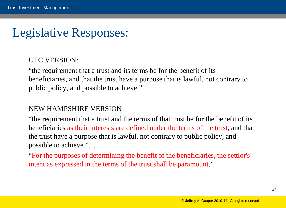#### Legislative Responses:

#### UTC VERSION:

"the requirement that a trust and its terms be for the benefit of its beneficiaries, and that the trust have a purpose that is lawful, not contrary to public policy, and possible to achieve."

#### NEW HAMPSHIRE VERSION

"the requirement that a trust and the terms of that trust be for the benefit of its beneficiaries as their interests are defined under the terms of the trust, and that the trust have a purpose that is lawful, not contrary to public policy, and possible to achieve."…

"For the purposes of determining the benefit of the beneficiaries, the settlor's intent as expressed in the terms of the trust shall be paramount."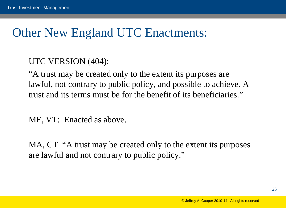#### Other New England UTC Enactments:

#### UTC VERSION (404):

"A trust may be created only to the extent its purposes are lawful, not contrary to public policy, and possible to achieve. A trust and its terms must be for the benefit of its beneficiaries."

ME, VT: Enacted as above.

MA, CT "A trust may be created only to the extent its purposes are lawful and not contrary to public policy."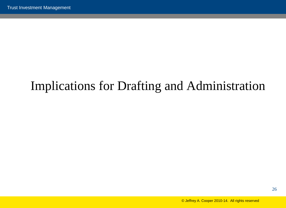# Implications for Drafting and Administration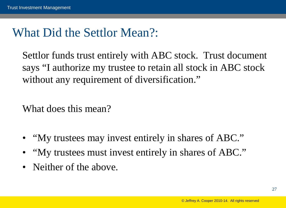#### What Did the Settlor Mean?:

Settlor funds trust entirely with ABC stock. Trust document says "I authorize my trustee to retain all stock in ABC stock without any requirement of diversification."

What does this mean?

- "My trustees may invest entirely in shares of ABC."
- "My trustees must invest entirely in shares of ABC."
- Neither of the above.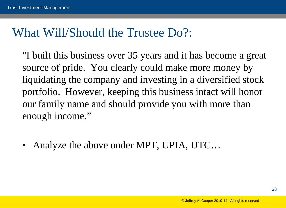#### What Will/Should the Trustee Do?:

"I built this business over 35 years and it has become a great source of pride. You clearly could make more money by liquidating the company and investing in a diversified stock portfolio. However, keeping this business intact will honor our family name and should provide you with more than enough income."

• Analyze the above under MPT, UPIA, UTC…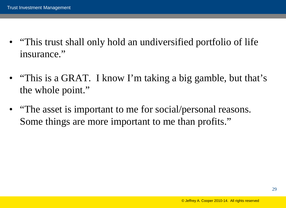- "This trust shall only hold an undiversified portfolio of life" insurance."
- "This is a GRAT. I know I'm taking a big gamble, but that's the whole point."
- "The asset is important to me for social/personal reasons. Some things are more important to me than profits."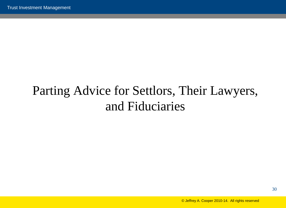# Parting Advice for Settlors, Their Lawyers, and Fiduciaries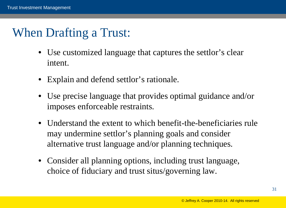## When Drafting a Trust:

- Use customized language that captures the settlor's clear intent.
- Explain and defend settlor's rationale.
- Use precise language that provides optimal guidance and/or imposes enforceable restraints.
- Understand the extent to which benefit-the-beneficiaries rule may undermine settlor's planning goals and consider alternative trust language and/or planning techniques.
- Consider all planning options, including trust language, choice of fiduciary and trust situs/governing law.